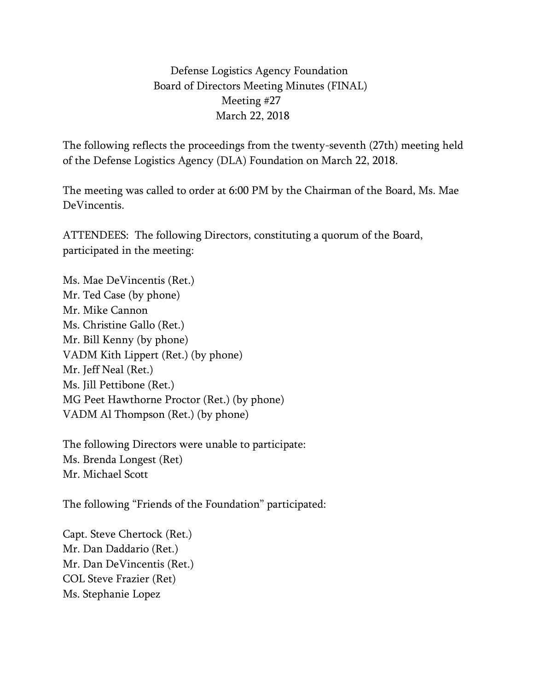## Defense Logistics Agency Foundation Board of Directors Meeting Minutes (FINAL) Meeting #27 March 22, 2018

The following reflects the proceedings from the twenty-seventh (27th) meeting held of the Defense Logistics Agency (DLA) Foundation on March 22, 2018.

The meeting was called to order at 6:00 PM by the Chairman of the Board, Ms. Mae DeVincentis.

ATTENDEES: The following Directors, constituting a quorum of the Board, participated in the meeting:

Ms. Mae DeVincentis (Ret.) Mr. Ted Case (by phone) Mr. Mike Cannon Ms. Christine Gallo (Ret.) Mr. Bill Kenny (by phone) VADM Kith Lippert (Ret.) (by phone) Mr. Jeff Neal (Ret.) Ms. Jill Pettibone (Ret.) MG Peet Hawthorne Proctor (Ret.) (by phone) VADM Al Thompson (Ret.) (by phone)

The following Directors were unable to participate: Ms. Brenda Longest (Ret) Mr. Michael Scott

The following "Friends of the Foundation" participated:

Capt. Steve Chertock (Ret.) Mr. Dan Daddario (Ret.) Mr. Dan DeVincentis (Ret.) COL Steve Frazier (Ret) Ms. Stephanie Lopez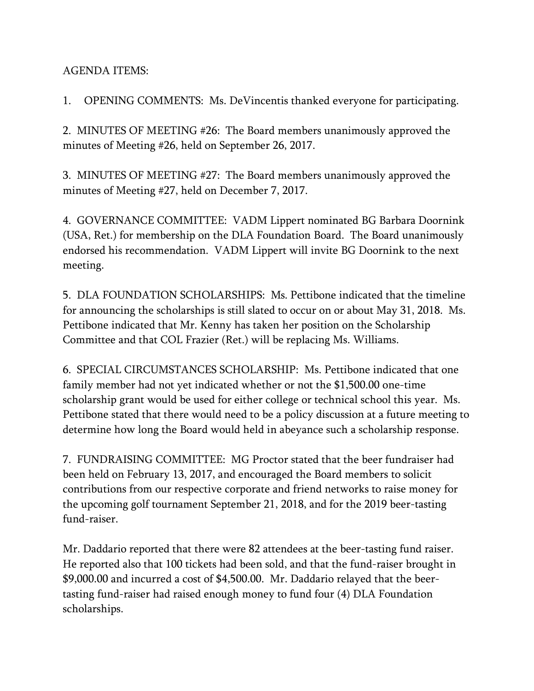## AGENDA ITEMS:

1. OPENING COMMENTS: Ms. DeVincentis thanked everyone for participating.

2. MINUTES OF MEETING #26: The Board members unanimously approved the minutes of Meeting #26, held on September 26, 2017.

3. MINUTES OF MEETING #27: The Board members unanimously approved the minutes of Meeting #27, held on December 7, 2017.

4. GOVERNANCE COMMITTEE: VADM Lippert nominated BG Barbara Doornink (USA, Ret.) for membership on the DLA Foundation Board. The Board unanimously endorsed his recommendation. VADM Lippert will invite BG Doornink to the next meeting.

5. DLA FOUNDATION SCHOLARSHIPS: Ms. Pettibone indicated that the timeline for announcing the scholarships is still slated to occur on or about May 31, 2018. Ms. Pettibone indicated that Mr. Kenny has taken her position on the Scholarship Committee and that COL Frazier (Ret.) will be replacing Ms. Williams.

6. SPECIAL CIRCUMSTANCES SCHOLARSHIP: Ms. Pettibone indicated that one family member had not yet indicated whether or not the \$1,500.00 one-time scholarship grant would be used for either college or technical school this year. Ms. Pettibone stated that there would need to be a policy discussion at a future meeting to determine how long the Board would held in abeyance such a scholarship response.

7. FUNDRAISING COMMITTEE: MG Proctor stated that the beer fundraiser had been held on February 13, 2017, and encouraged the Board members to solicit contributions from our respective corporate and friend networks to raise money for the upcoming golf tournament September 21, 2018, and for the 2019 beer-tasting fund-raiser.

Mr. Daddario reported that there were 82 attendees at the beer-tasting fund raiser. He reported also that 100 tickets had been sold, and that the fund-raiser brought in \$9,000.00 and incurred a cost of \$4,500.00. Mr. Daddario relayed that the beertasting fund-raiser had raised enough money to fund four (4) DLA Foundation scholarships.